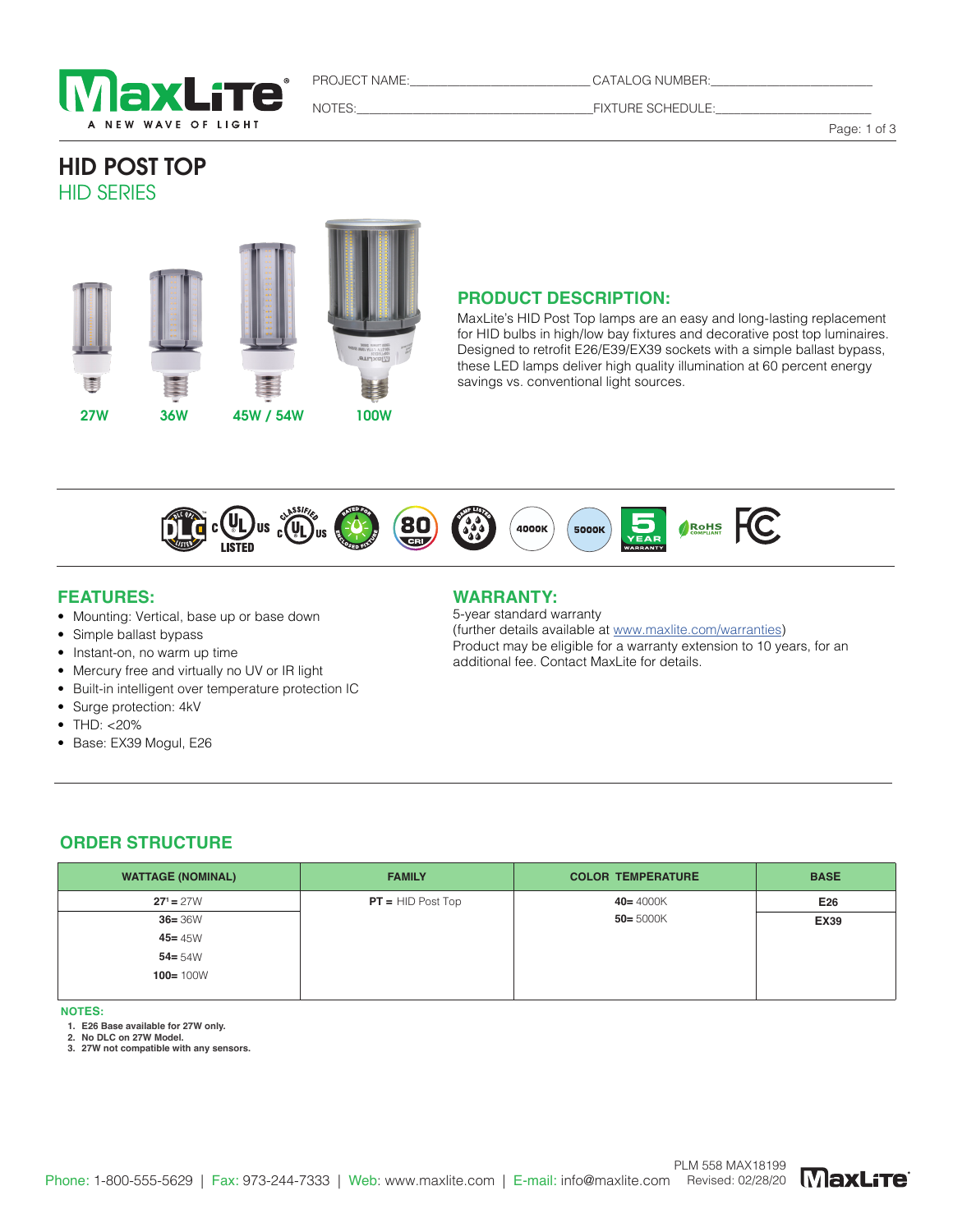

PROJECT NAME:\_\_\_\_\_\_\_\_\_\_\_\_\_\_\_\_\_\_\_\_\_\_\_\_\_\_\_\_\_ CATALOG NUMBER:\_\_\_\_\_\_\_\_\_\_\_\_\_\_\_\_\_\_\_\_\_\_\_\_\_\_

NOTES:\_\_\_\_\_\_\_\_\_\_\_\_\_\_\_\_\_\_\_\_\_\_\_\_\_\_\_\_\_\_\_\_\_\_\_\_\_\_FIXTURE SCHEDULE:\_\_\_\_\_\_\_\_\_\_\_\_\_\_\_\_\_\_\_\_\_\_\_\_\_

Page: 1 of 3

# HID POST TOP HID SERIES



# **PRODUCT DESCRIPTION:**

MaxLite's HID Post Top lamps are an easy and long-lasting replacement for HID bulbs in high/low bay fixtures and decorative post top luminaires. Designed to retrofit E26/E39/EX39 sockets with a simple ballast bypass, these LED lamps deliver high quality illumination at 60 percent energy savings vs. conventional light sources.



#### **FEATURES:**

- Mounting: Vertical, base up or base down
- Simple ballast bypass
- Instant-on, no warm up time
- Mercury free and virtually no UV or IR light
- Built-in intelligent over temperature protection IC
- Surge protection: 4kV
- THD: <20%
- Base: EX39 Mogul, E26

## **WARRANTY:**

5-year standard warranty (further details available at www.maxlite.com/warranties) Product may be eligible for a warranty extension to 10 years, for an additional fee. Contact MaxLite for details.

#### **ORDER STRUCTURE**

| <b>WATTAGE (NOMINAL)</b> | <b>FAMILY</b>       | <b>COLOR TEMPERATURE</b> | <b>BASE</b> |
|--------------------------|---------------------|--------------------------|-------------|
| $27^1 = 27W$             | $PT = HID$ Post Top | $40 = 4000K$             | E26         |
| $36 = 36W$               |                     | $50 = 5000K$             | <b>EX39</b> |
| $45 = 45W$               |                     |                          |             |
| $54 = 54W$               |                     |                          |             |
| $100 = 100W$             |                     |                          |             |
|                          |                     |                          |             |

**NOTES:**

**1. E26 Base available for 27W only.**

**2. No DLC on 27W Model.** 

**3. 27W not compatible with any sensors.**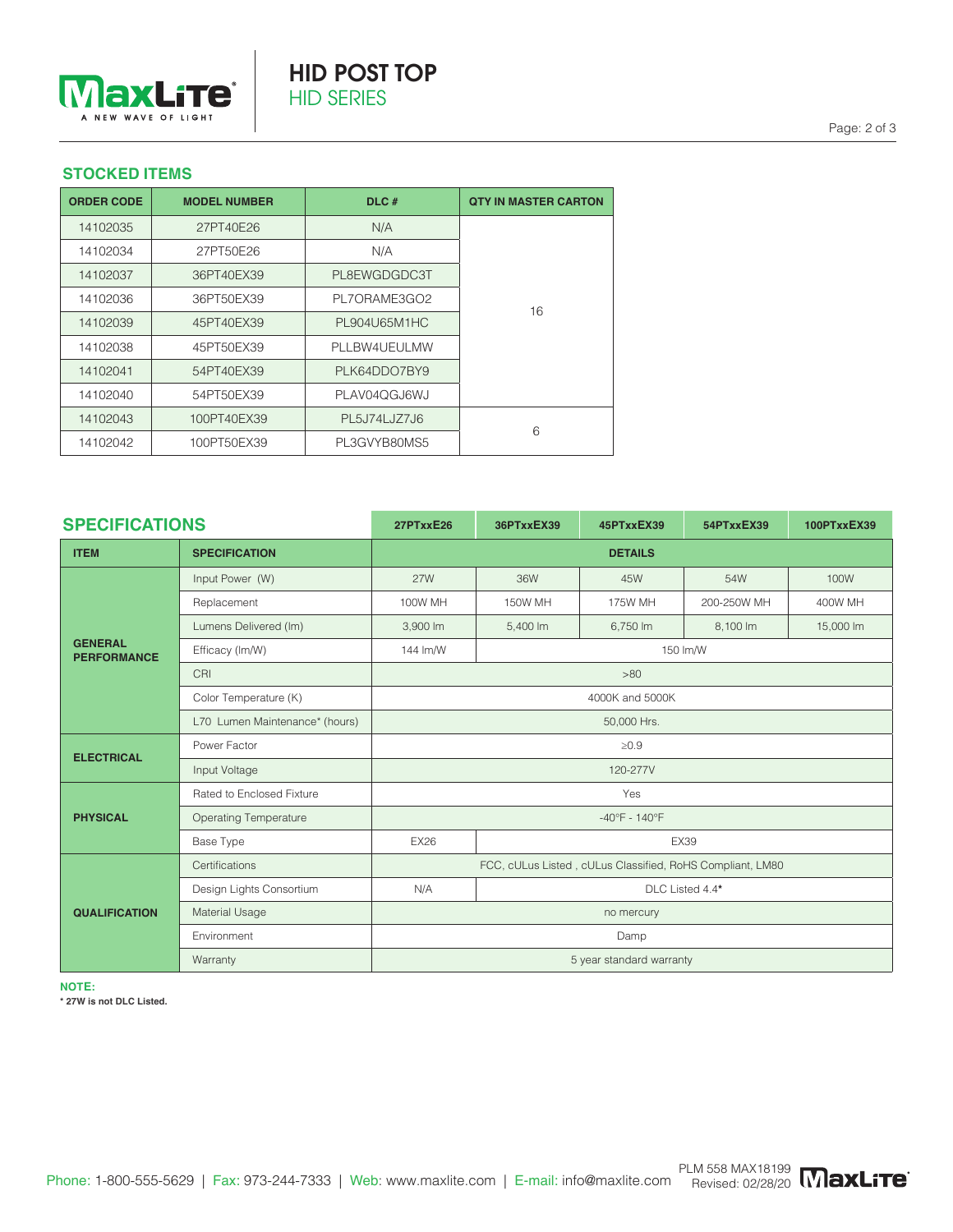

## **STOCKED ITEMS**

| <b>ORDER CODE</b> | <b>MODEL NUMBER</b> | DLC#         | <b>QTY IN MASTER CARTON</b> |  |
|-------------------|---------------------|--------------|-----------------------------|--|
| 14102035          | 27PT40E26           | N/A          |                             |  |
| 14102034          | 27PT50E26           | N/A          |                             |  |
| 14102037          | 36PT40EX39          | PL8EWGDGDC3T |                             |  |
| 14102036          | 36PT50EX39          | PL7ORAME3GO2 | 16                          |  |
| 14102039          | 45PT40EX39          | PL904U65M1HC |                             |  |
| 14102038          | 45PT50EX39          | PLLBW4UEULMW |                             |  |
| 14102041          | 54PT40EX39          | PLK64DDO7BY9 |                             |  |
| 14102040          | 54PT50EX39          | PLAV04QGJ6WJ |                             |  |
| 14102043          | 100PT40EX39         | PL5J74LJZ7J6 | 6                           |  |
| 14102042          | 100PT50EX39         | PL3GVYB80MS5 |                             |  |

| <b>SPECIFICATIONS</b>                |                                | 27PTxxE26                                                 | 36PTxxEX39      | 45PTxxEX39 | 54PTxxEX39  | 100PTxxEX39 |  |
|--------------------------------------|--------------------------------|-----------------------------------------------------------|-----------------|------------|-------------|-------------|--|
| <b>ITEM</b>                          | <b>SPECIFICATION</b>           | <b>DETAILS</b>                                            |                 |            |             |             |  |
| <b>GENERAL</b><br><b>PERFORMANCE</b> | Input Power (W)                | <b>27W</b>                                                | 36W             | 45W        | 54W         | 100W        |  |
|                                      | Replacement                    | 100W MH                                                   | 150W MH         | 175W MH    | 200-250W MH | 400W MH     |  |
|                                      | Lumens Delivered (Im)          | 3,900 lm                                                  | 5,400 lm        | 6,750 lm   | 8,100 lm    | 15,000 lm   |  |
|                                      | Efficacy (Im/W)                | 144 lm/W                                                  | 150 lm/W        |            |             |             |  |
|                                      | CRI                            | >80                                                       |                 |            |             |             |  |
|                                      | Color Temperature (K)          | 4000K and 5000K                                           |                 |            |             |             |  |
|                                      | L70 Lumen Maintenance* (hours) | 50,000 Hrs.                                               |                 |            |             |             |  |
| <b>ELECTRICAL</b>                    | Power Factor                   | $\geq 0.9$                                                |                 |            |             |             |  |
|                                      | Input Voltage                  | 120-277V                                                  |                 |            |             |             |  |
|                                      | Rated to Enclosed Fixture      | Yes                                                       |                 |            |             |             |  |
| <b>PHYSICAL</b>                      | <b>Operating Temperature</b>   | $-40^{\circ}$ F - 140°F                                   |                 |            |             |             |  |
|                                      | Base Type                      | <b>EX26</b>                                               | <b>EX39</b>     |            |             |             |  |
|                                      | Certifications                 | FCC, cULus Listed, cULus Classified, RoHS Compliant, LM80 |                 |            |             |             |  |
| <b>QUALIFICATION</b>                 | Design Lights Consortium       | N/A                                                       | DLC Listed 4.4* |            |             |             |  |
|                                      | Material Usage                 | no mercury                                                |                 |            |             |             |  |
|                                      | Environment                    | Damp                                                      |                 |            |             |             |  |
|                                      | Warranty                       | 5 year standard warranty                                  |                 |            |             |             |  |

**NOTE:**

**\* 27W is not DLC Listed.**